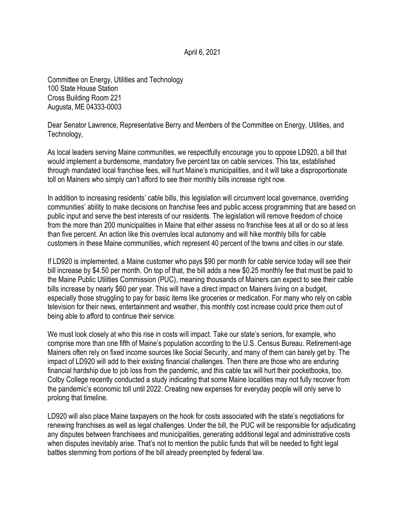April 6, 2021

Committee on Energy, Utilities and Technology 100 State House Station Cross Building Room 221 Augusta, ME 04333-0003

Dear Senator Lawrence, Representative Berry and Members of the Committee on Energy, Utilities, and Technology,

As local leaders serving Maine communities, we respectfully encourage you to oppose LD920, a bill that would implement a burdensome, mandatory five percent tax on cable services. This tax, established through mandated local franchise fees, will hurt Maine's municipalities, and it will take a disproportionate toll on Mainers who simply can't afford to see their monthly bills increase right now.

In addition to increasing residents' cable bills, this legislation will circumvent local governance, overriding communities' ability to make decisions on franchise fees and public access programming that are based on public input and serve the best interests of our residents. The legislation will remove freedom of choice from the more than 200 municipalities in Maine that either assess no franchise fees at all or do so at less than five percent. An action like this overrules local autonomy and will hike monthly bills for cable customers in these Maine communities, which represent 40 percent of the towns and cities in our state.

If LD920 is implemented, a Maine customer who pays \$90 per month for cable service today will see their bill increase by \$4.50 per month. On top of that, the bill adds a new \$0.25 monthly fee that must be paid to the Maine Public Utilities Commission (PUC), meaning thousands of Mainers can expect to see their cable bills increase by nearly \$60 per year. This will have a direct impact on Mainers living on a budget, especially those struggling to pay for basic items like groceries or medication. For many who rely on cable television for their news, entertainment and weather, this monthly cost increase could price them out of being able to afford to continue their service.

We must look closely at who this rise in costs will impact. Take our state's seniors, for example, who comprise more than one fifth of Maine's population according to the U.S. Census Bureau. Retirement-age Mainers often rely on fixed income sources like Social Security, and many of them can barely get by. The impact of LD920 will add to their existing financial challenges. Then there are those who are enduring financial hardship due to job loss from the pandemic, and this cable tax will hurt their pocketbooks, too. Colby College recently conducted a study indicating that some Maine localities may not fully recover from the pandemic's economic toll until 2022. Creating new expenses for everyday people will only serve to prolong that timeline.

LD920 will also place Maine taxpayers on the hook for costs associated with the state's negotiations for renewing franchises as well as legal challenges. Under the bill, the PUC will be responsible for adjudicating any disputes between franchisees and municipalities, generating additional legal and administrative costs when disputes inevitably arise. That's not to mention the public funds that will be needed to fight legal battles stemming from portions of the bill already preempted by federal law.